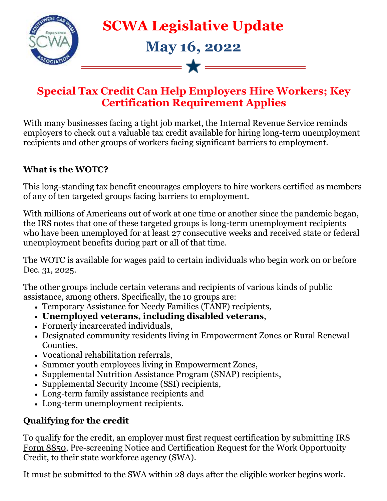

### **Special Tax Credit Can Help Employers Hire Workers; Key Certification Requirement Applies**

With many businesses facing a tight job market, the Internal Revenue Service reminds employers to check out a valuable tax credit available for hiring long-term unemployment recipients and other groups of workers facing significant barriers to employment.

#### **What is the WOTC?**

This long-standing tax benefit encourages employers to hire workers certified as members of any of ten targeted groups facing barriers to employment.

With millions of Americans out of work at one time or another since the pandemic began, the IRS notes that one of these targeted groups is long-term unemployment recipients who have been unemployed for at least 27 consecutive weeks and received state or federal unemployment benefits during part or all of that time.

The WOTC is available for wages paid to certain individuals who begin work on or before Dec. 31, 2025.

The other groups include certain veterans and recipients of various kinds of public assistance, among others. Specifically, the 10 groups are:

- Temporary Assistance for Needy Families (TANF) recipients,
- **Unemployed veterans, including disabled veterans**,
- Formerly incarcerated individuals,
- Designated community residents living in Empowerment Zones or Rural Renewal Counties,
- Vocational rehabilitation referrals,
- Summer youth employees living in Empowerment Zones,
- Supplemental Nutrition Assistance Program (SNAP) recipients,
- Supplemental Security Income (SSI) recipients,
- Long-term family assistance recipients and
- Long-term unemployment recipients.

#### **Qualifying for the credit**

To qualify for the credit, an employer must first request certification by submitting IRS [Form 8850,](https://r20.rs6.net/tn.jsp?f=001o1Ae2wI7ThStULQB_O-h2L1FGlTWrI4pzGtgFHTiooHqETOOggRWSmn_TY4rDHIHM8pQGp2IlLC6FMZejnbs9S9V4T2P8OTsPuxjpHqLv5g9ZMuQU_zUKN__3lekQD6ey5DtWNYnhRZ6R_kqOGJYUZSvQjP0kuJG_CDTg0RVCRZMFOj4fcWKI6m2F6WZBwJ59ywodpHc3VjYOTNvqSCmKVykt6my-LLqkeuBqCwNuxRJCnbK-DYRA_4_kLNggVBzfIibwu303OF1sRxOInTxn0tuTuxSHriTpqVQKwz3Ze27RbJVzKIUpC7qBlkbmQ88nyKTRaXsXuitmn1qE4STevPgHXB1HjXrmPki-B1avrdBygPG1aJ0kqNRf2nxO3gv4uKMEtVp3qLgt6sQoU1VbwvD4DzaTitvPLEMSHQpjKGAL3Ls55cXhFhRBnEuVVbZEBXhzgz2FK67l21WAglUJo6yno2o3UPY69Pm_NnqLyCmwD4NW2AtK3aZS1W-78E0&c=NQwq7U7sMB6oP16u9AjfpOMnP1yEhQBlQf4v9AZofLylgRcz_HoevA==&ch=kr9nheIg2YlfUJR69FH5hRZPm7Nj8lau8IHX6uNT4LZRF62_3enciQ==) Pre-screening Notice and Certification Request for the Work Opportunity Credit, to their state workforce agency (SWA).

It must be submitted to the SWA within 28 days after the eligible worker begins work.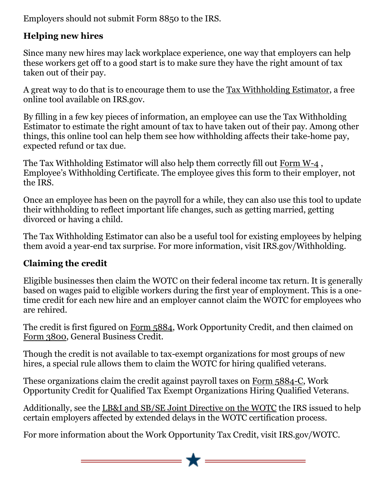Employers should not submit Form 8850 to the IRS.

### **Helping new hires**

Since many new hires may lack workplace experience, one way that employers can help these workers get off to a good start is to make sure they have the right amount of tax taken out of their pay.

A great way to do that is to encourage them to use the [Tax Withholding Estimator,](https://r20.rs6.net/tn.jsp?f=001o1Ae2wI7ThStULQB_O-h2L1FGlTWrI4pzGtgFHTiooHqETOOggRWSmn_TY4rDHIHyxj8LkwHZ3Cl-uHxwmVJNL2ilSn8MFkm8FJFz51Okmkd2ESZqESY-1zi__Jy4Y4KnGDqmT-seSNc3yo_Nc6P4qSCOG479u-6EL-5ATWIq2iSA1zvYnS_Ot--8K7nP1tFMYW_qXNpl2Jv1QEnoX81O1iriu9Uni7gvGYnrmfNeJd8j_N6U9T5GIPGAOaPhGk_mknViveQQWALaSfaap7Xa69M4QjVs5Mv-aQvhZoHUx3NtfB5X_XuVNuuXhVaN8_iKJGxcZoRWFcirbwUd1WA2do4aFBDI-seJZkBQcCra_Vf9HAc2rbopTNzeOHY-9iyBhni07yZIC0ywlnoIg2KlsP62BjoysNhjQwUhx5pkQkbtyh5EJwedpnmfGul-eU-Yv0FGm1iOrqM3gznjHMWSSERkl4Y1fillSuYauc0DeLZB5_BPKS4mN7zHnP5NRqIAE7-RYeAXSta0S2fK6e5pw==&c=NQwq7U7sMB6oP16u9AjfpOMnP1yEhQBlQf4v9AZofLylgRcz_HoevA==&ch=kr9nheIg2YlfUJR69FH5hRZPm7Nj8lau8IHX6uNT4LZRF62_3enciQ==) a free online tool available on IRS.gov.

By filling in a few key pieces of information, an employee can use the Tax Withholding Estimator to estimate the right amount of tax to have taken out of their pay. Among other things, this online tool can help them see how withholding affects their take-home pay, expected refund or tax due.

The Tax Withholding Estimator will also help them correctly fill out [Form W-4](https://r20.rs6.net/tn.jsp?f=001o1Ae2wI7ThStULQB_O-h2L1FGlTWrI4pzGtgFHTiooHqETOOggRWSmn_TY4rDHIHMtOvJKEOk5KMTpeCgVibva54LjRDUL2hs6I1CeMOHMV5cihL9Vm2e8aMBkvEpIoVfnWTPFjFiJnQayzNAsKyAbYBOrrnwv1HfN18cpB_RNuZfYt0S7JoXKObcnnxWaV4qd3zpED-p92HYdVfMFwkuNfp7lG0RRjUcAn3zSAPKiIqBqhUDwAZw50A57pRhy7ZSXljyMdRvmdMv9D0EFvVde-fgDHaOgwooPsB21k8OH9YXWH0Fnl3rfE_khl5OnDGJ4sb5snFERslFTdf_ttxlXsRE9LHU7vimgfnQfRJsVgikB7XcnGXzvLGyzYjRmWNDLgQzfb5Ykz-bHMOZBAIxcrREUWu9fSEkkqNxzN5JfDyeZbw8JW3kJ0ybDq7z8s4mnVCQh1--GjT_bcQZ_-qr8iujuqwjzK-DrIkIzO92Ju1EHuPw0hYN6sccZahCq9r&c=NQwq7U7sMB6oP16u9AjfpOMnP1yEhQBlQf4v9AZofLylgRcz_HoevA==&ch=kr9nheIg2YlfUJR69FH5hRZPm7Nj8lau8IHX6uNT4LZRF62_3enciQ==), Employee's Withholding Certificate. The employee gives this form to their employer, not the IRS.

Once an employee has been on the payroll for a while, they can also use this tool to update their withholding to reflect important life changes, such as getting married, getting divorced or having a child.

The Tax Withholding Estimator can also be a useful tool for existing employees by helping them avoid a year-end tax surprise. For more information, visit IRS.gov/Withholding.

## **Claiming the credit**

Eligible businesses then claim the WOTC on their federal income tax return. It is generally based on wages paid to eligible workers during the first year of employment. This is a onetime credit for each new hire and an employer cannot claim the WOTC for employees who are rehired.

The credit is first figured on [Form 5884,](https://r20.rs6.net/tn.jsp?f=001o1Ae2wI7ThStULQB_O-h2L1FGlTWrI4pzGtgFHTiooHqETOOggRWSmn_TY4rDHIHiwhSCpKML9SA8xP6dOMetggB0hnyzU0OL555LFOl0YOZA-RcY1mck-2W2YpuAswT95Z4RyYtNJ1IzT0dFuJZVhC4j9GM_N0fAmIjLr_Cu1MTORzE0TdN39raUckQtv2z3vVFzpbtwhIYbVOWPXIoJSFadX4OwJWPJkHfXwLRg_EjXlHx-3dHR1DQvLtsyOfWy8Q3yRJOydlwOvL_KTfpuYbv4115Na7EWBytDfZxFivie8w38ZONkebVqxsrd0Lr_Si8Fb9sCtKR_PztQz6Jdqb0mv4eggPyUgpY1mUwBUYpQKB3KyNWGTpH0OOkpUf6RpVcwy5zfcglS1mNuwUxm91ADHWkoyhtFBJ8bbsD15McJUNvsD1-fmgWxCE3qxxe9jp-yP5witAydBurgrFWPJ8TuJGlYqX0qXArPKzXMfloFizRmArA5BBh8TiXkQmN&c=NQwq7U7sMB6oP16u9AjfpOMnP1yEhQBlQf4v9AZofLylgRcz_HoevA==&ch=kr9nheIg2YlfUJR69FH5hRZPm7Nj8lau8IHX6uNT4LZRF62_3enciQ==) Work Opportunity Credit, and then claimed on [Form 3800,](https://r20.rs6.net/tn.jsp?f=001o1Ae2wI7ThStULQB_O-h2L1FGlTWrI4pzGtgFHTiooHqETOOggRWSmn_TY4rDHIHPLltWvtg3eiippKP7VuYsYvFKcgRYVt274ckko9wti1UmNj_bBfviOZAVltdnRPFQuF4SSvOko9uIpO1XSIQvfuwbo2nbjJnQCkZWxmG55FX_C-6DzdaQO8CByWhkm9B8YrwaWpN69u0aYYKC5wVgU6UTZlid9dgPcBd8QhjZAQtZffFZkA5gM757Syw7Brq9dRbfUCzcQeOzZtE8J45aKvId08DHE8OodFmDTQ9TTabM-sKD19RS14CfU2aDE1iUBJgoR81mv64aoABXMWDJhma_TS3f-PwszbwQQ2PABbO2-hYaw7jBwF-pYml0FcgwXRctOzcqNGlHhBHp1PyJdoTAgAcWnC2FvQ9tc-MR33HMnMmj7yHUqvI5Uac68lio1GHYVBDnciyHEfS7XmnXJ5e1eUJouCY-HTvITfvAcTJ9SgNTKwDSlWqMnwwNwh0&c=NQwq7U7sMB6oP16u9AjfpOMnP1yEhQBlQf4v9AZofLylgRcz_HoevA==&ch=kr9nheIg2YlfUJR69FH5hRZPm7Nj8lau8IHX6uNT4LZRF62_3enciQ==) General Business Credit.

Though the credit is not available to tax-exempt organizations for most groups of new hires, a special rule allows them to claim the WOTC for hiring qualified veterans.

These organizations claim the credit against payroll taxes on [Form 5884-C,](https://r20.rs6.net/tn.jsp?f=001o1Ae2wI7ThStULQB_O-h2L1FGlTWrI4pzGtgFHTiooHqETOOggRWSmn_TY4rDHIHU1-Zhui6GLlElkfU0oV5BrBAyeOr_AG0x_jUWV86YqYmPX2hJgwDwFOOytu85rHNs_AaeAUqROULYI9ULqpkQQ6mjtcsDE_7kjBX4TozwKeJmcvPeD0Jghlm60z79Hq_IvHmPtd1NwZfYdDC1l8Dkb51NIEyFuS9hO0DjqcOlLQOt9H9WEcbNBRbuAVeT0Tfwedow6Ew2tXx-3YJhGFzsYPh8LZRxTir_RZrz8LhEassZBF4f2O-dw2aOd2E8LB_YL5x_bhRb0YOUDQc3i9IKeB7Yf1i-hSwEEsCMj7pUdnnhtpY496BP7hLhPT7ShVW9ENy71rENVmsjll2vusdyG4uVqwEi31NcHCV9mhNC5R8bXb5m1VgrSbaqMUNk2z7ez9bqsO8G2BfwOclTx0bzwT1-Xfwr-g4CEr7QR64KNMk3Jtrfc1-1VBHOW0e2MEJ&c=NQwq7U7sMB6oP16u9AjfpOMnP1yEhQBlQf4v9AZofLylgRcz_HoevA==&ch=kr9nheIg2YlfUJR69FH5hRZPm7Nj8lau8IHX6uNT4LZRF62_3enciQ==) Work Opportunity Credit for Qualified Tax Exempt Organizations Hiring Qualified Veterans.

Additionally, see the [LB&I and SB/SE Joint Directive on the WOTC](https://r20.rs6.net/tn.jsp?f=001o1Ae2wI7ThStULQB_O-h2L1FGlTWrI4pzGtgFHTiooHqETOOggRWSmn_TY4rDHIHAjXaB0fErt79FtvX6fDeRuzaQAmjg2D8pn-XTH3j1dRD4q6mZtsUMtEdvHacmhdNpGuVn8BzBcfF2wKthmIkfnB_tLe2S7FHn2dc9xXtjhFIprcrVzd9bvNwmV86dbggrY_0jjcAeXkyWKlHvFX85me6-oZ_De7u3NbjxmVydACbVg0w4GebeMP7u6-gC0v6S7xU-BiXtWhmFZ21upQHeb1j2Nf0U3fgLKIDMZvNk3tihlUzxu-GbYaUTMu1ntm5kfrERUXRvGhr8AFOZvhXYOSmQvBCq2n7Zdjc-3pae1BUvwlgqyZ64h2Q6HbEaMeTj2Rzyb5ikp9z_zPLlVNeVQzc0J9H_VAQ_Ygsprh0IDcucKS7ubtLzylpR8JsuzOGJ1f6XT0LBjw3pVeYX3RRy3BtQlkW3QWs2cjLXvqoMHwxn-ZJkOQqQ0_1GKl_JF0gvOC7gXZ1Nwvrm3mf894sknhkekuo8WOOkoazSxquaes57aX5zUtkgClfg0RJoINvaqR9rGfcgslfU9eaSAge8tYsfiiPJ0ed2OWn_3Uoj2O3tVX5nnuBAgB59bzqX93UNOwz8inTBWpbaZ9qv70jYygs3oULxXjQMLwmUuNqektVe4QHRtMO_hKRTYpsRe4f&c=NQwq7U7sMB6oP16u9AjfpOMnP1yEhQBlQf4v9AZofLylgRcz_HoevA==&ch=kr9nheIg2YlfUJR69FH5hRZPm7Nj8lau8IHX6uNT4LZRF62_3enciQ==) the IRS issued to help certain employers affected by extended delays in the WOTC certification process.

For more information about the Work Opportunity Tax Credit, visit IRS.gov/WOTC.